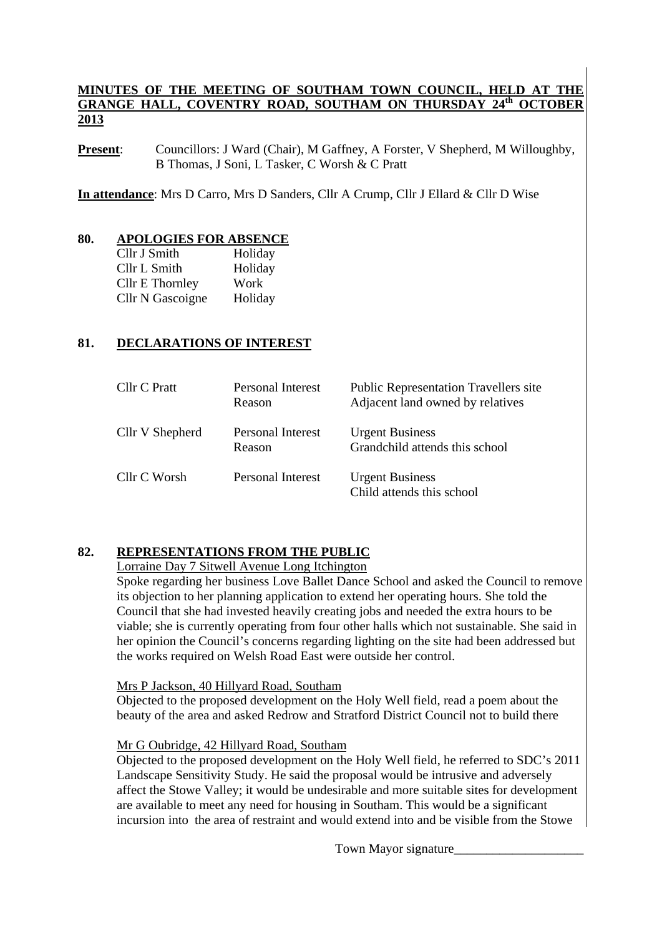#### **MINUTES OF THE MEETING OF SOUTHAM TOWN COUNCIL, HELD AT THE GRANGE HALL, COVENTRY ROAD, SOUTHAM ON THURSDAY 24th OCTOBER 2013**

**Present:** Councillors: J Ward (Chair), M Gaffney, A Forster, V Shepherd, M Willoughby, B Thomas, J Soni, L Tasker, C Worsh & C Pratt

**In attendance**: Mrs D Carro, Mrs D Sanders, Cllr A Crump, Cllr J Ellard & Cllr D Wise

#### **80. APOLOGIES FOR ABSENCE**

| Cllr J Smith     | Holiday |
|------------------|---------|
| Cllr L Smith     | Holiday |
| Cllr E Thornley  | Work    |
| Cllr N Gascoigne | Holiday |

#### **81. DECLARATIONS OF INTEREST**

| Cllr C Pratt    | Personal Interest<br>Reason | <b>Public Representation Travellers site</b><br>Adjacent land owned by relatives |
|-----------------|-----------------------------|----------------------------------------------------------------------------------|
| Cllr V Shepherd | Personal Interest<br>Reason | <b>Urgent Business</b><br>Grandchild attends this school                         |
| Cllr C Worsh    | <b>Personal Interest</b>    | <b>Urgent Business</b><br>Child attends this school                              |

#### **82. REPRESENTATIONS FROM THE PUBLIC**

#### Lorraine Day 7 Sitwell Avenue Long Itchington

Spoke regarding her business Love Ballet Dance School and asked the Council to remove its objection to her planning application to extend her operating hours. She told the Council that she had invested heavily creating jobs and needed the extra hours to be viable; she is currently operating from four other halls which not sustainable. She said in her opinion the Council's concerns regarding lighting on the site had been addressed but the works required on Welsh Road East were outside her control.

Mrs P Jackson, 40 Hillyard Road, Southam

Objected to the proposed development on the Holy Well field, read a poem about the beauty of the area and asked Redrow and Stratford District Council not to build there

#### Mr G Oubridge, 42 Hillyard Road, Southam

Objected to the proposed development on the Holy Well field, he referred to SDC's 2011 Landscape Sensitivity Study. He said the proposal would be intrusive and adversely affect the Stowe Valley; it would be undesirable and more suitable sites for development are available to meet any need for housing in Southam. This would be a significant incursion into the area of restraint and would extend into and be visible from the Stowe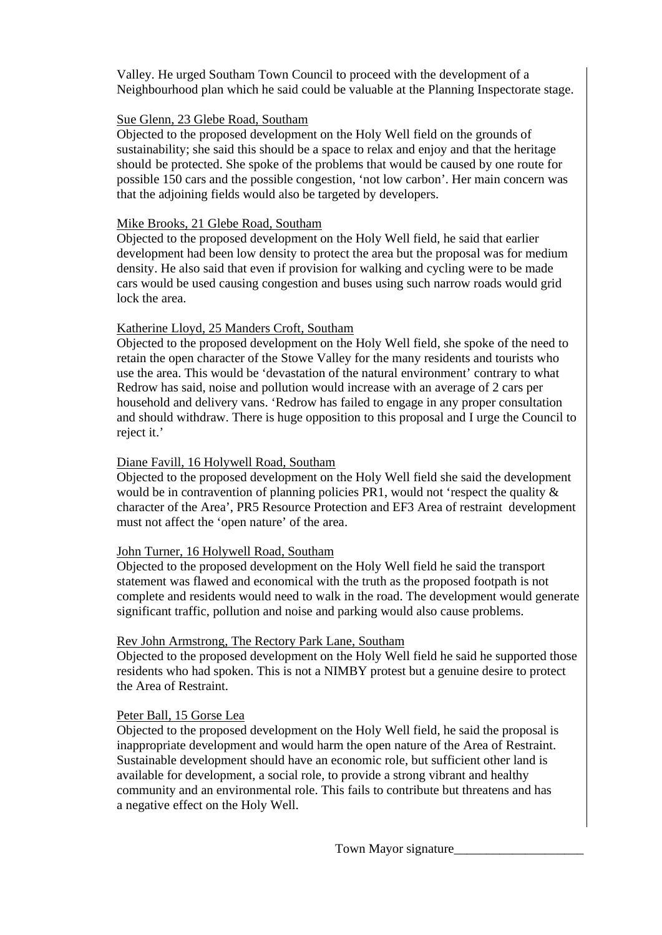Valley. He urged Southam Town Council to proceed with the development of a Neighbourhood plan which he said could be valuable at the Planning Inspectorate stage.

#### Sue Glenn, 23 Glebe Road, Southam

 Objected to the proposed development on the Holy Well field on the grounds of sustainability; she said this should be a space to relax and enjoy and that the heritage should be protected. She spoke of the problems that would be caused by one route for possible 150 cars and the possible congestion, 'not low carbon'. Her main concern was that the adjoining fields would also be targeted by developers.

#### Mike Brooks, 21 Glebe Road, Southam

 Objected to the proposed development on the Holy Well field, he said that earlier development had been low density to protect the area but the proposal was for medium density. He also said that even if provision for walking and cycling were to be made cars would be used causing congestion and buses using such narrow roads would grid lock the area.

## Katherine Lloyd, 25 Manders Croft, Southam

 Objected to the proposed development on the Holy Well field, she spoke of the need to retain the open character of the Stowe Valley for the many residents and tourists who use the area. This would be 'devastation of the natural environment' contrary to what Redrow has said, noise and pollution would increase with an average of 2 cars per household and delivery vans. 'Redrow has failed to engage in any proper consultation and should withdraw. There is huge opposition to this proposal and I urge the Council to reject it.'

#### Diane Favill, 16 Holywell Road, Southam

 Objected to the proposed development on the Holy Well field she said the development would be in contravention of planning policies PR1, would not 'respect the quality & character of the Area', PR5 Resource Protection and EF3 Area of restraint development must not affect the 'open nature' of the area.

#### John Turner, 16 Holywell Road, Southam

 Objected to the proposed development on the Holy Well field he said the transport statement was flawed and economical with the truth as the proposed footpath is not complete and residents would need to walk in the road. The development would generate significant traffic, pollution and noise and parking would also cause problems.

#### Rev John Armstrong, The Rectory Park Lane, Southam

 Objected to the proposed development on the Holy Well field he said he supported those residents who had spoken. This is not a NIMBY protest but a genuine desire to protect the Area of Restraint.

## Peter Ball, 15 Gorse Lea

 Objected to the proposed development on the Holy Well field, he said the proposal is inappropriate development and would harm the open nature of the Area of Restraint. Sustainable development should have an economic role, but sufficient other land is available for development, a social role, to provide a strong vibrant and healthy community and an environmental role. This fails to contribute but threatens and has a negative effect on the Holy Well.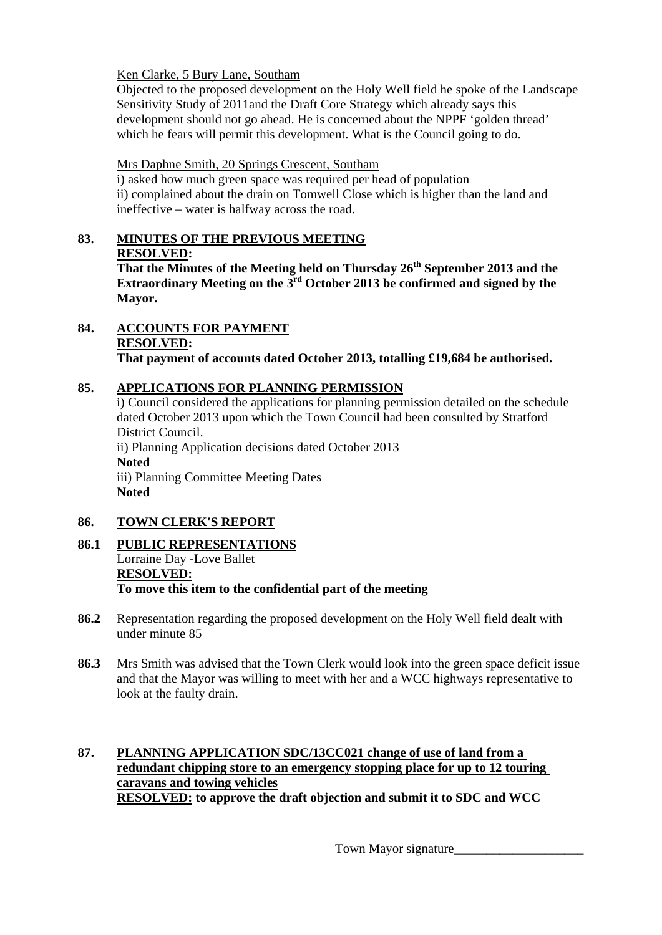## Ken Clarke, 5 Bury Lane, Southam

 Objected to the proposed development on the Holy Well field he spoke of the Landscape Sensitivity Study of 2011and the Draft Core Strategy which already says this development should not go ahead. He is concerned about the NPPF 'golden thread' which he fears will permit this development. What is the Council going to do.

## Mrs Daphne Smith, 20 Springs Crescent, Southam

 i) asked how much green space was required per head of population ii) complained about the drain on Tomwell Close which is higher than the land and ineffective – water is halfway across the road.

# **83. MINUTES OF THE PREVIOUS MEETING RESOLVED:**

**That the Minutes of the Meeting held on Thursday 26th September 2013 and the Extraordinary Meeting on the 3rd October 2013 be confirmed and signed by the Mayor.** 

#### **84. ACCOUNTS FOR PAYMENT RESOLVED: That payment of accounts dated October 2013, totalling £19,684 be authorised.**

# **85. APPLICATIONS FOR PLANNING PERMISSION**

i) Council considered the applications for planning permission detailed on the schedule dated October 2013 upon which the Town Council had been consulted by Stratford District Council. ii) Planning Application decisions dated October 2013 **Noted**  iii) Planning Committee Meeting Dates **Noted** 

# **86. TOWN CLERK'S REPORT**

## **86.1 PUBLIC REPRESENTATIONS** Lorraine Day **-**Love Ballet  **RESOLVED: To move this item to the confidential part of the meeting**

- **86.2** Representation regarding the proposed development on the Holy Well field dealt with under minute 85
- **86.3** Mrs Smith was advised that the Town Clerk would look into the green space deficit issue and that the Mayor was willing to meet with her and a WCC highways representative to look at the faulty drain.

## **87. PLANNING APPLICATION SDC/13CC021 change of use of land from a redundant chipping store to an emergency stopping place for up to 12 touring caravans and towing vehicles RESOLVED: to approve the draft objection and submit it to SDC and WCC**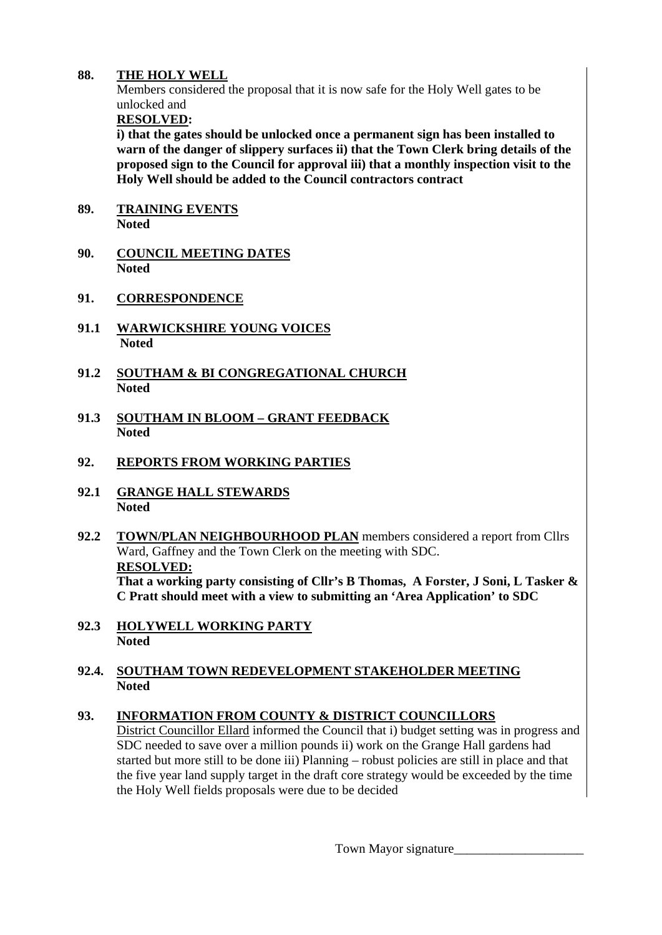## **88. THE HOLY WELL**

Members considered the proposal that it is now safe for the Holy Well gates to be unlocked and

**RESOLVED:** 

 **i) that the gates should be unlocked once a permanent sign has been installed to warn of the danger of slippery surfaces ii) that the Town Clerk bring details of the proposed sign to the Council for approval iii) that a monthly inspection visit to the Holy Well should be added to the Council contractors contract** 

- **89. TRAINING EVENTS Noted**
- **90. COUNCIL MEETING DATES Noted**
- **91. CORRESPONDENCE**
- **91.1 WARWICKSHIRE YOUNG VOICES Noted**
- **91.2 SOUTHAM & BI CONGREGATIONAL CHURCH Noted**
- **91.3 SOUTHAM IN BLOOM GRANT FEEDBACK Noted**
- **92. REPORTS FROM WORKING PARTIES**
- **92.1 GRANGE HALL STEWARDS Noted**
- **92.2 TOWN/PLAN NEIGHBOURHOOD PLAN** members considered a report from Cllrs Ward, Gaffney and the Town Clerk on the meeting with SDC.  **RESOLVED: That a working party consisting of Cllr's B Thomas, A Forster, J Soni, L Tasker & C Pratt should meet with a view to submitting an 'Area Application' to SDC**
- **92.3 HOLYWELL WORKING PARTY Noted**

## **92.4. SOUTHAM TOWN REDEVELOPMENT STAKEHOLDER MEETING Noted**

## **93. INFORMATION FROM COUNTY & DISTRICT COUNCILLORS**

District Councillor Ellard informed the Council that i) budget setting was in progress and SDC needed to save over a million pounds ii) work on the Grange Hall gardens had started but more still to be done iii) Planning – robust policies are still in place and that the five year land supply target in the draft core strategy would be exceeded by the time the Holy Well fields proposals were due to be decided

Town Mayor signature\_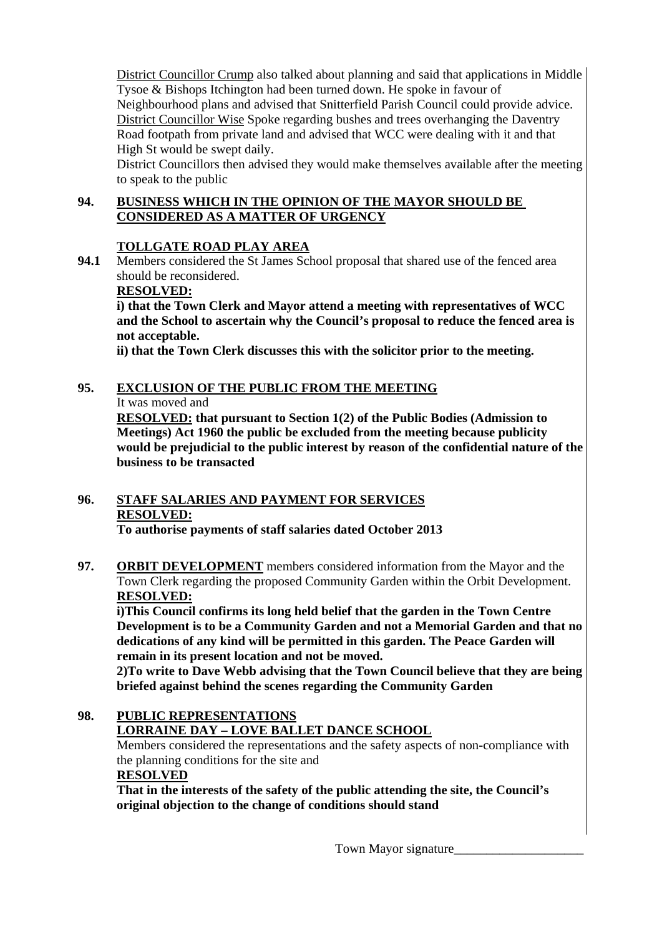District Councillor Crump also talked about planning and said that applications in Middle Tysoe & Bishops Itchington had been turned down. He spoke in favour of Neighbourhood plans and advised that Snitterfield Parish Council could provide advice. District Councillor Wise Spoke regarding bushes and trees overhanging the Daventry Road footpath from private land and advised that WCC were dealing with it and that High St would be swept daily.

 District Councillors then advised they would make themselves available after the meeting to speak to the public

## **94. BUSINESS WHICH IN THE OPINION OF THE MAYOR SHOULD BE CONSIDERED AS A MATTER OF URGENCY**

# **TOLLGATE ROAD PLAY AREA**

**94.1** Members considered the St James School proposal that shared use of the fenced area should be reconsidered.

# **RESOLVED:**

 **i) that the Town Clerk and Mayor attend a meeting with representatives of WCC and the School to ascertain why the Council's proposal to reduce the fenced area is not acceptable.** 

**ii) that the Town Clerk discusses this with the solicitor prior to the meeting.** 

# **95. EXCLUSION OF THE PUBLIC FROM THE MEETING**

## It was moved and

**RESOLVED: that pursuant to Section 1(2) of the Public Bodies (Admission to Meetings) Act 1960 the public be excluded from the meeting because publicity would be prejudicial to the public interest by reason of the confidential nature of the business to be transacted** 

# **96. STAFF SALARIES AND PAYMENT FOR SERVICES RESOLVED:**

**To authorise payments of staff salaries dated October 2013** 

**97. ORBIT DEVELOPMENT** members considered information from the Mayor and the Town Clerk regarding the proposed Community Garden within the Orbit Development. **RESOLVED:**

**i)This Council confirms its long held belief that the garden in the Town Centre Development is to be a Community Garden and not a Memorial Garden and that no dedications of any kind will be permitted in this garden. The Peace Garden will remain in its present location and not be moved.** 

**2)To write to Dave Webb advising that the Town Council believe that they are being briefed against behind the scenes regarding the Community Garden** 

# **98. PUBLIC REPRESENTATIONS LORRAINE DAY – LOVE BALLET DANCE SCHOOL**

 Members considered the representations and the safety aspects of non-compliance with the planning conditions for the site and **RESOLVED**

**That in the interests of the safety of the public attending the site, the Council's original objection to the change of conditions should stand**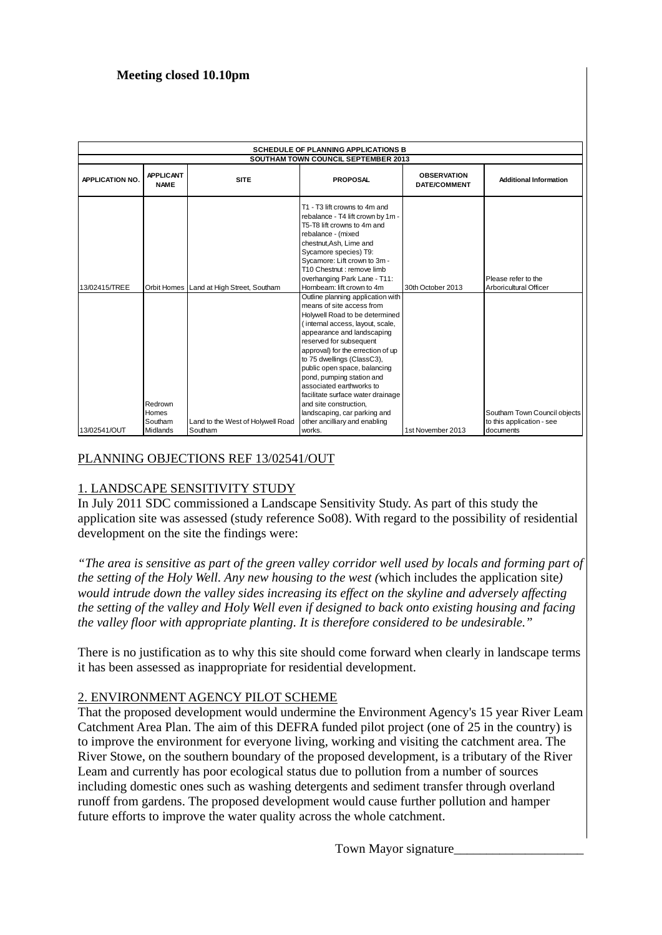## **Meeting closed 10.10pm**

| <b>SCHEDULE OF PLANNING APPLICATIONS B</b> |                                 |                                              |                                                                                                                                                                                                                                                                                                                                                                                                                                                          |                                           |                                               |  |  |  |
|--------------------------------------------|---------------------------------|----------------------------------------------|----------------------------------------------------------------------------------------------------------------------------------------------------------------------------------------------------------------------------------------------------------------------------------------------------------------------------------------------------------------------------------------------------------------------------------------------------------|-------------------------------------------|-----------------------------------------------|--|--|--|
|                                            |                                 |                                              | <b>SOUTHAM TOWN COUNCIL SEPTEMBER 2013</b>                                                                                                                                                                                                                                                                                                                                                                                                               |                                           |                                               |  |  |  |
| <b>APPLICATION NO.</b>                     | <b>APPLICANT</b><br><b>NAME</b> | <b>SITE</b>                                  | <b>PROPOSAL</b>                                                                                                                                                                                                                                                                                                                                                                                                                                          | <b>OBSERVATION</b><br><b>DATE/COMMENT</b> | <b>Additional Information</b>                 |  |  |  |
| 13/02415/TREE                              |                                 | Orbit Homes Land at High Street, Southam     | T1 - T3 lift crowns to 4m and<br>rebalance - T4 lift crown by 1m -<br>T5-T8 lift crowns to 4m and<br>rebalance - (mixed<br>chestnut, Ash, Lime and<br>Sycamore species) T9:<br>Sycamore: Lift crown to 3m -<br>T10 Chestnut : remove limb<br>overhanging Park Lane - T11:<br>Hornbeam: lift crown to 4m                                                                                                                                                  | 30th October 2013                         | Please refer to the<br>Arboricultural Officer |  |  |  |
|                                            | Redrown<br>Homes                |                                              | Outline planning application with<br>means of site access from<br>Holywell Road to be determined<br>(internal access, layout, scale,<br>appearance and landscaping<br>reserved for subsequent<br>approval) for the errection of up<br>to 75 dwellings (ClassC3),<br>public open space, balancing<br>pond, pumping station and<br>associated earthworks to<br>facilitate surface water drainage<br>and site construction,<br>landscaping, car parking and |                                           | Southam Town Council objects                  |  |  |  |
| 13/02541/OUT                               | Southam<br>Midlands             | Land to the West of Holywell Road<br>Southam | other ancilliary and enabling<br>works.                                                                                                                                                                                                                                                                                                                                                                                                                  | 1st November 2013                         | to this application - see<br>documents        |  |  |  |

## PLANNING OBJECTIONS REF 13/02541/OUT

## 1. LANDSCAPE SENSITIVITY STUDY

In July 2011 SDC commissioned a Landscape Sensitivity Study. As part of this study the application site was assessed (study reference So08). With regard to the possibility of residential development on the site the findings were:

*"The area is sensitive as part of the green valley corridor well used by locals and forming part of the setting of the Holy Well. Any new housing to the west (*which includes the application site*) would intrude down the valley sides increasing its effect on the skyline and adversely affecting the setting of the valley and Holy Well even if designed to back onto existing housing and facing the valley floor with appropriate planting. It is therefore considered to be undesirable."* 

There is no justification as to why this site should come forward when clearly in landscape terms it has been assessed as inappropriate for residential development.

## 2. ENVIRONMENT AGENCY PILOT SCHEME

That the proposed development would undermine the Environment Agency's 15 year River Leam Catchment Area Plan. The aim of this DEFRA funded pilot project (one of 25 in the country) is to improve the environment for everyone living, working and visiting the catchment area. The River Stowe, on the southern boundary of the proposed development, is a tributary of the River Leam and currently has poor ecological status due to pollution from a number of sources including domestic ones such as washing detergents and sediment transfer through overland runoff from gardens. The proposed development would cause further pollution and hamper future efforts to improve the water quality across the whole catchment.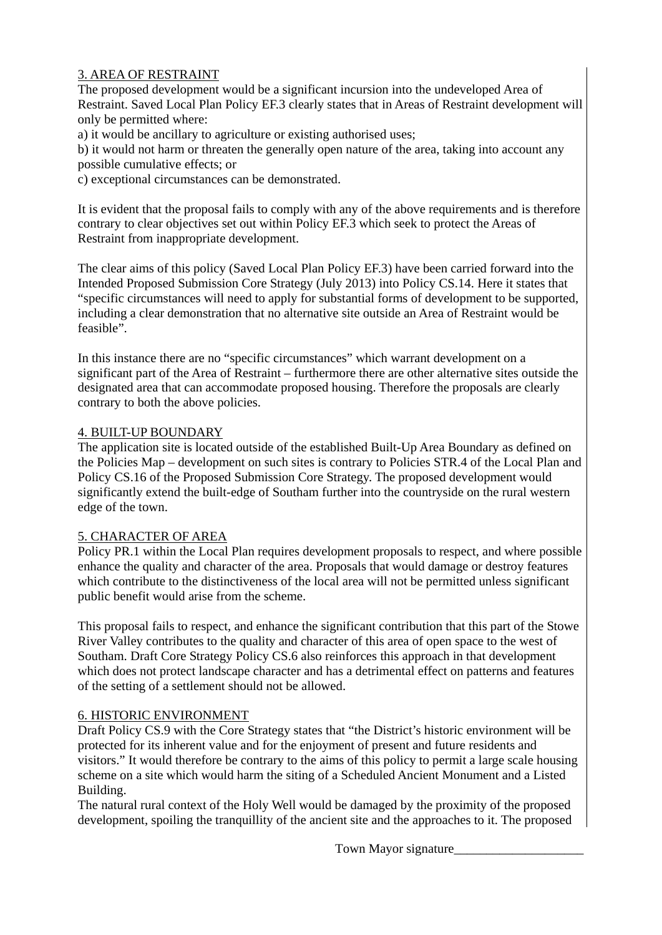## 3. AREA OF RESTRAINT

The proposed development would be a significant incursion into the undeveloped Area of Restraint. Saved Local Plan Policy EF.3 clearly states that in Areas of Restraint development will only be permitted where:

a) it would be ancillary to agriculture or existing authorised uses;

b) it would not harm or threaten the generally open nature of the area, taking into account any possible cumulative effects; or

c) exceptional circumstances can be demonstrated.

It is evident that the proposal fails to comply with any of the above requirements and is therefore contrary to clear objectives set out within Policy EF.3 which seek to protect the Areas of Restraint from inappropriate development.

The clear aims of this policy (Saved Local Plan Policy EF.3) have been carried forward into the Intended Proposed Submission Core Strategy (July 2013) into Policy CS.14. Here it states that "specific circumstances will need to apply for substantial forms of development to be supported, including a clear demonstration that no alternative site outside an Area of Restraint would be feasible".

In this instance there are no "specific circumstances" which warrant development on a significant part of the Area of Restraint – furthermore there are other alternative sites outside the designated area that can accommodate proposed housing. Therefore the proposals are clearly contrary to both the above policies.

#### 4. BUILT-UP BOUNDARY

The application site is located outside of the established Built-Up Area Boundary as defined on the Policies Map – development on such sites is contrary to Policies STR.4 of the Local Plan and Policy CS.16 of the Proposed Submission Core Strategy. The proposed development would significantly extend the built-edge of Southam further into the countryside on the rural western edge of the town.

#### 5. CHARACTER OF AREA

Policy PR.1 within the Local Plan requires development proposals to respect, and where possible enhance the quality and character of the area. Proposals that would damage or destroy features which contribute to the distinctiveness of the local area will not be permitted unless significant public benefit would arise from the scheme.

This proposal fails to respect, and enhance the significant contribution that this part of the Stowe River Valley contributes to the quality and character of this area of open space to the west of Southam. Draft Core Strategy Policy CS.6 also reinforces this approach in that development which does not protect landscape character and has a detrimental effect on patterns and features of the setting of a settlement should not be allowed.

#### 6. HISTORIC ENVIRONMENT

Draft Policy CS.9 with the Core Strategy states that "the District's historic environment will be protected for its inherent value and for the enjoyment of present and future residents and visitors." It would therefore be contrary to the aims of this policy to permit a large scale housing scheme on a site which would harm the siting of a Scheduled Ancient Monument and a Listed Building.

The natural rural context of the Holy Well would be damaged by the proximity of the proposed development, spoiling the tranquillity of the ancient site and the approaches to it. The proposed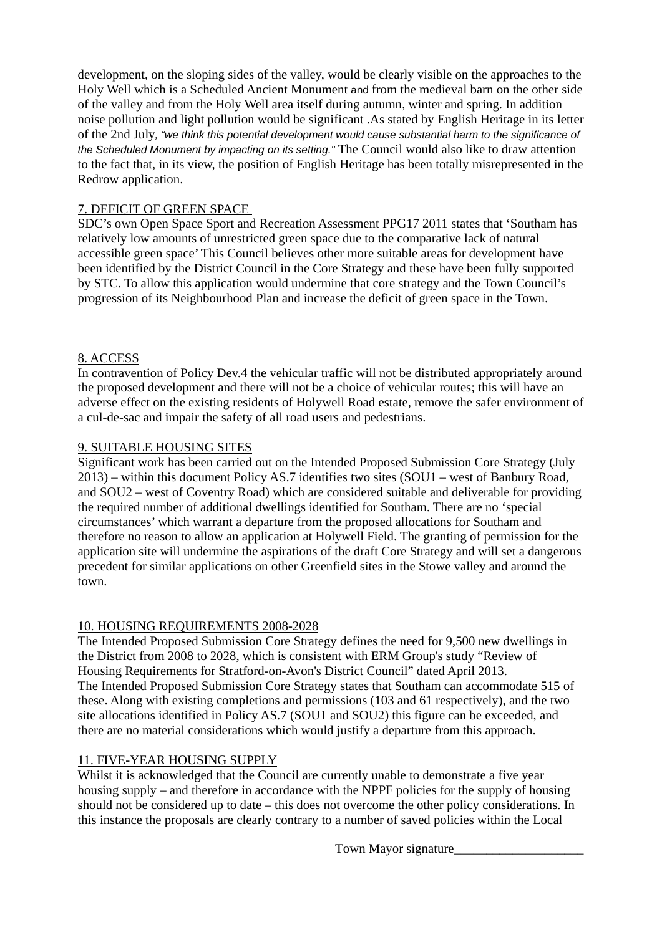development, on the sloping sides of the valley, would be clearly visible on the approaches to the Holy Well which is a Scheduled Ancient Monument and from the medieval barn on the other side of the valley and from the Holy Well area itself during autumn, winter and spring. In addition noise pollution and light pollution would be significant .As stated by English Heritage in its letter of the 2nd July*, "we think this potential development would cause substantial harm to the significance of the Scheduled Monument by impacting on its setting."* The Council would also like to draw attention to the fact that, in its view, the position of English Heritage has been totally misrepresented in the Redrow application.

## 7. DEFICIT OF GREEN SPACE

SDC's own Open Space Sport and Recreation Assessment PPG17 2011 states that 'Southam has relatively low amounts of unrestricted green space due to the comparative lack of natural accessible green space' This Council believes other more suitable areas for development have been identified by the District Council in the Core Strategy and these have been fully supported by STC. To allow this application would undermine that core strategy and the Town Council's progression of its Neighbourhood Plan and increase the deficit of green space in the Town.

## 8. ACCESS

In contravention of Policy Dev.4 the vehicular traffic will not be distributed appropriately around the proposed development and there will not be a choice of vehicular routes; this will have an adverse effect on the existing residents of Holywell Road estate, remove the safer environment of a cul-de-sac and impair the safety of all road users and pedestrians.

## 9. SUITABLE HOUSING SITES

Significant work has been carried out on the Intended Proposed Submission Core Strategy (July 2013) – within this document Policy AS.7 identifies two sites (SOU1 – west of Banbury Road, and SOU2 – west of Coventry Road) which are considered suitable and deliverable for providing the required number of additional dwellings identified for Southam. There are no 'special circumstances' which warrant a departure from the proposed allocations for Southam and therefore no reason to allow an application at Holywell Field. The granting of permission for the application site will undermine the aspirations of the draft Core Strategy and will set a dangerous precedent for similar applications on other Greenfield sites in the Stowe valley and around the town.

#### 10. HOUSING REQUIREMENTS 2008-2028

The Intended Proposed Submission Core Strategy defines the need for 9,500 new dwellings in the District from 2008 to 2028, which is consistent with ERM Group's study "Review of Housing Requirements for Stratford-on-Avon's District Council" dated April 2013. The Intended Proposed Submission Core Strategy states that Southam can accommodate 515 of these. Along with existing completions and permissions (103 and 61 respectively), and the two site allocations identified in Policy AS.7 (SOU1 and SOU2) this figure can be exceeded, and there are no material considerations which would justify a departure from this approach.

## 11. FIVE-YEAR HOUSING SUPPLY

Whilst it is acknowledged that the Council are currently unable to demonstrate a five year housing supply – and therefore in accordance with the NPPF policies for the supply of housing should not be considered up to date – this does not overcome the other policy considerations. In this instance the proposals are clearly contrary to a number of saved policies within the Local